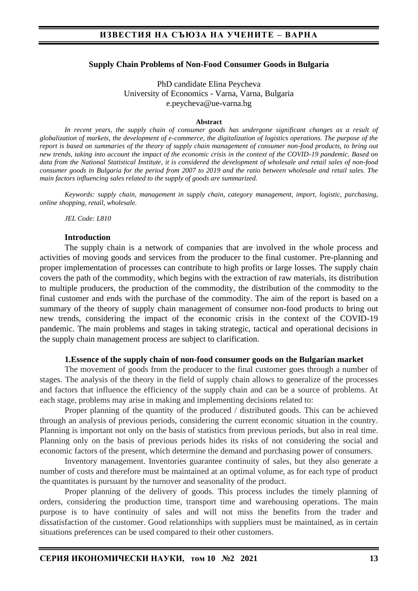### **Supply Chain Problems of Non-Food Consumer Goods in Bulgaria**

PhD candidate Elina Peycheva University of Economics - Varna, Varna, Bulgaria e.peycheva@ue-varna.bg

#### **Abstract**

*In recent years, the supply chain of consumer goods has undergone significant changes as a result of globalization of markets, the development of e-commerce, the digitalization of logistics operations. The purpose of the report is based on summaries of the theory of supply chain management of consumer non-food products, to bring out new trends, taking into account the impact of the economic crisis in the context of the COVID-19 pandemic. Based on data from the National Statistical Institute, it is considered the development of wholesale and retail sales of non-food consumer goods in Bulgaria for the period from 2007 to 2019 and the ratio between wholesale and retail sales. The main factors influencing sales related to the supply of goods are summarized.*

*Keywords: supply chain, management in supply chain, category management, import, logistic, purchasing, online shopping, retail, wholesale.* 

*JEL Code: L810*

### **Introduction**

The supply chain is a network of companies that are involved in the whole process and activities of moving goods and services from the producer to the final customer. Pre-planning and proper implementation of processes can contribute to high profits or large losses. The supply chain covers the path of the commodity, which begins with the extraction of raw materials, its distribution to multiple producers, the production of the commodity, the distribution of the commodity to the final customer and ends with the purchase of the commodity. The aim of the report is based on a summary of the theory of supply chain management of consumer non-food products to bring out new trends, considering the impact of the economic crisis in the context of the COVID-19 pandemic. The main problems and stages in taking strategic, tactical and operational decisions in the supply chain management process are subject to clarification.

#### **1.Essence of the supply chain of non-food consumer goods on the Bulgarian market**

The movement of goods from the producer to the final customer goes through a number of stages. The analysis of the theory in the field of supply chain allows to generalize of the processes and factors that influence the efficiency of the supply chain and can be a source of problems. At each stage, problems may arise in making and implementing decisions related to:

Proper planning of the quantity of the produced / distributed goods. This can be achieved through an analysis of previous periods, considering the current economic situation in the country. Planning is important not only on the basis of statistics from previous periods, but also in real time. Planning only on the basis of previous periods hides its risks of not considering the social and economic factors of the present, which determine the demand and purchasing power of consumers.

Inventory management. Inventories guarantee continuity of sales, but they also generate a number of costs and therefore must be maintained at an optimal volume, as for each type of product the quantitates is pursuant by the turnover and seasonality of the product.

Proper planning of the delivery of goods. This process includes the timely planning of orders, considering the production time, transport time and warehousing operations. The main purpose is to have continuity of sales and will not miss the benefits from the trader and dissatisfaction of the customer. Good relationships with suppliers must be maintained, as in certain situations preferences can be used compared to their other customers.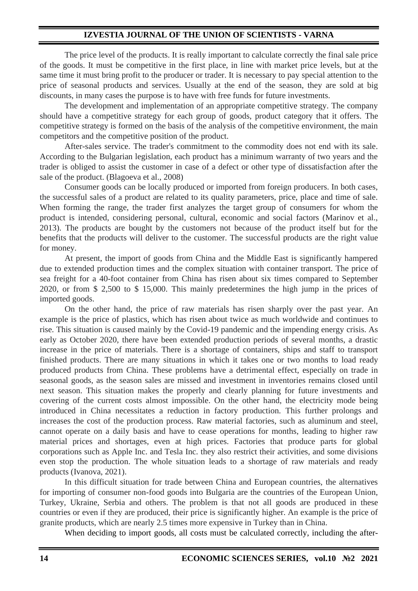### **IZVESTIA JOURNAL OF THE UNION OF SCIENTISTS - VARNA**

The price level of the products. It is really important to calculate correctly the final sale price of the goods. It must be competitive in the first place, in line with market price levels, but at the same time it must bring profit to the producer or trader. It is necessary to pay special attention to the price of seasonal products and services. Usually at the end of the season, they are sold at big discounts, in many cases the purpose is to have with free funds for future investments.

The development and implementation of an appropriate competitive strategy. The company should have a competitive strategy for each group of goods, product category that it offers. The competitive strategy is formed on the basis of the analysis of the competitive environment, the main competitors and the competitive position of the product.

After-sales service. The trader's commitment to the commodity does not end with its sale. According to the Bulgarian legislation, each product has a minimum warranty of two years and the trader is obliged to assist the customer in case of a defect or other type of dissatisfaction after the sale of the product. (Blagoeva et al., 2008)

Consumer goods can be locally produced or imported from foreign producers. In both cases, the successful sales of a product are related to its quality parameters, price, place and time of sale. When forming the range, the trader first analyzes the target group of consumers for whom the product is intended, considering personal, cultural, economic and social factors (Marinov et al., 2013). The products are bought by the customers not because of the product itself but for the benefits that the products will deliver to the customer. The successful products are the right value for money.

At present, the import of goods from China and the Middle East is significantly hampered due to extended production times and the complex situation with container transport. The price of sea freight for a 40-foot container from China has risen about six times compared to September 2020, or from \$ 2,500 to \$ 15,000. This mainly predetermines the high jump in the prices of imported goods.

On the other hand, the price of raw materials has risen sharply over the past year. An example is the price of plastics, which has risen about twice as much worldwide and continues to rise. This situation is caused mainly by the Covid-19 pandemic and the impending energy crisis. As early as October 2020, there have been extended production periods of several months, a drastic increase in the price of materials. There is a shortage of containers, ships and staff to transport finished products. There are many situations in which it takes onе or two months to load ready produced products from China. These problems have a detrimental effect, especially on trade in seasonal goods, as the season sales are missed and investment in inventories remains closed until next season. This situation makes the properly and clearly planning for future investments and covering of the current costs almost impossible. On the other hand, the electricity mode being introduced in China necessitates a reduction in factory production. This further prolongs and increases the cost of the production process. Raw material factories, such as aluminum and steel, cannot operate on a daily basis and have to cease operations for months, leading to higher raw material prices and shortages, even at high prices. Factories that produce parts for global corporations such as Apple Inc. and Tesla Inc. they also restrict their activities, and some divisions even stop the production. The whole situation leads to a shortage of raw materials and ready products (Ivanova, 2021).

In this difficult situation for trade between China and European countries, the alternatives for importing of consumer non-food goods into Bulgaria are the countries of the European Union, Turkey, Ukraine, Serbia and others. The problem is that not all goods are produced in these countries or even if they are produced, their price is significantly higher. An example is the price of granite products, which are nearly 2.5 times more expensive in Turkey than in China.

When deciding to import goods, all costs must be calculated correctly, including the after-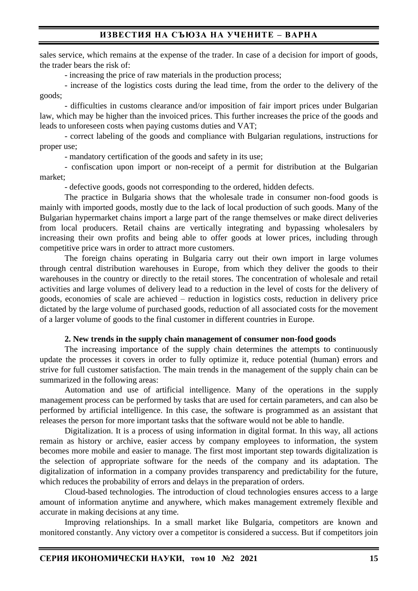# **ИЗВЕСТИЯ НА СЪЮЗА НА УЧЕНИТЕ – ВАРНА**

sales service, which remains at the expense of the trader. In case of a decision for import of goods, the trader bears the risk of:

- increasing the price of raw materials in the production process;

- increase of the logistics costs during the lead time, from the order to the delivery of the goods;

- difficulties in customs clearance and/or imposition of fair import prices under Bulgarian law, which may be higher than the invoiced prices. This further increases the price of the goods and leads to unforeseen costs when paying customs duties and VAT;

- correct labeling of the goods and compliance with Bulgarian regulations, instructions for proper use;

- mandatory certification of the goods and safety in its use;

- confiscation upon import or non-receipt of a permit for distribution at the Bulgarian market;

- defective goods, goods not corresponding to the ordered, hidden defects.

The practice in Bulgaria shows that the wholesale trade in consumer non-food goods is mainly with imported goods, mostly due to the lack of local production of such goods. Many of the Bulgarian hypermarket chains import a large part of the range themselves or make direct deliveries from local producers. Retail chains are vertically integrating and bypassing wholesalers by increasing their own profits and being able to offer goods at lower prices, including through competitive price wars in order to attract more customers.

The foreign chains operating in Bulgaria carry out their own import in large volumes through central distribution warehouses in Europe, from which they deliver the goods to their warehouses in the country or directly to the retail stores. The concentration of wholesale and retail activities and large volumes of delivery lead to a reduction in the level of costs for the delivery of goods, economies of scale are achieved – reduction in logistics costs, reduction in delivery price dictated by the large volume of purchased goods, reduction of all associated costs for the movement of a larger volume of goods to the final customer in different countries in Europe.

### **2. New trends in the supply chain management of consumer non-food goods**

The increasing importance of the supply chain determines the attempts to continuously update the processes it covers in order to fully optimize it, reduce potential (human) errors and strive for full customer satisfaction. The main trends in the management of the supply chain can be summarized in the following areas:

Automation and use of artificial intelligence. Many of the operations in the supply management process can be performed by tasks that are used for certain parameters, and can also be performed by artificial intelligence. In this case, the software is programmed as an assistant that releases the person for more important tasks that the software would not be able to handle.

Digitalization. It is a process of using information in digital format. In this way, all actions remain as history or archive, easier access by company employees to information, the system becomes more mobile and easier to manage. The first most important step towards digitalization is the selection of appropriate software for the needs of the company and its adaptation. The digitalization of information in a company provides transparency and predictability for the future, which reduces the probability of errors and delays in the preparation of orders.

Cloud-based technologies. The introduction of cloud technologies ensures access to a large amount of information anytime and anywhere, which makes management extremely flexible and accurate in making decisions at any time.

Improving relationships. In a small market like Bulgaria, competitors are known and monitored constantly. Any victory over a competitor is considered a success. But if competitors join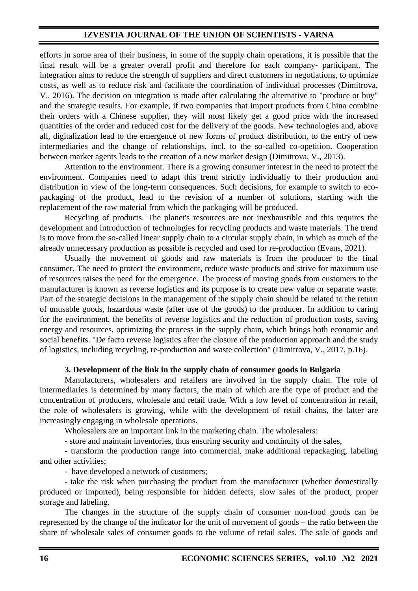# **IZVESTIA JOURNAL OF THE UNION OF SCIENTISTS - VARNA**

efforts in some area of their business, in some of the supply chain operations, it is possible that the final result will be a greater overall profit and therefore for each company- participant. The integration aims to reduce the strength of suppliers and direct customers in negotiations, to optimize costs, as well as to reduce risk and facilitate the coordination of individual processes (Dimitrova, V., 2016). The decision on integration is made after calculating the alternative to "produce or buy" and the strategic results. For example, if two companies that import products from China combine their orders with a Chinese supplier, they will most likely get a good price with the increased quantities of the order and reduced cost for the delivery of the goods. New technologies and, above all, digitalization lead to the emergence of new forms of product distribution, to the entry of new intermediaries and the change of relationships, incl. to the so-called co-opetition. Cooperation between market agents leads to the creation of a new market design (Dimitrova, V., 2013).

Attention to the environment. There is a growing consumer interest in the need to protect the environment. Companies need to adapt this trend strictly individually to their production and distribution in view of the long-term consequences. Such decisions, for example to switch to ecopackaging of the product, lead to the revision of a number of solutions, starting with the replacement of the raw material from which the packaging will be produced.

Recycling of products. The planet's resources are not inexhaustible and this requires the development and introduction of technologies for recycling products and waste materials. The trend is to move from the so-called linear supply chain to a circular supply chain, in which as much of the already unnecessary production as possible is recycled and used for re-production (Evans, 2021).

Usually the movement of goods and raw materials is from the producer to the final consumer. The need to protect the environment, reduce waste products and strive for maximum use of resources raises the need for the emergence. The process of moving goods from customers to the manufacturer is known as reverse logistics and its purpose is to create new value or separate waste. Part of the strategic decisions in the management of the supply chain should be related to the return of unusable goods, hazardous waste (after use of the goods) to the producer. In addition to caring for the environment, the benefits of reverse logistics and the reduction of production costs, saving energy and resources, optimizing the process in the supply chain, which brings both economic and social benefits. "De facto reverse logistics after the closure of the production approach and the study of logistics, including recycling, re-production and waste collection" (Dimitrova, V., 2017, p.16).

### **3. Development of the link in the supply chain of consumer goods in Bulgaria**

Manufacturers, wholesalers and retailers are involved in the supply chain. The role of intermediaries is determined by many factors, the main of which are the type of product and the concentration of producers, wholesale and retail trade. With a low level of concentration in retail, the role of wholesalers is growing, while with the development of retail chains, the latter are increasingly engaging in wholesale operations.

Wholesalers are an important link in the marketing chain. The wholesalers:

- store and maintain inventories, thus ensuring security and continuity of the sales,

- transform the production range into commercial, make additional repackaging, labeling and other activities;

- have developed a network of customers;

- take the risk when purchasing the product from the manufacturer (whether domestically produced or imported), being responsible for hidden defects, slow sales of the product, proper storage and labeling.

The changes in the structure of the supply chain of consumer non-food goods can be represented by the change of the indicator for the unit of movement of goods – the ratio between the share of wholesale sales of consumer goods to the volume of retail sales. The sale of goods and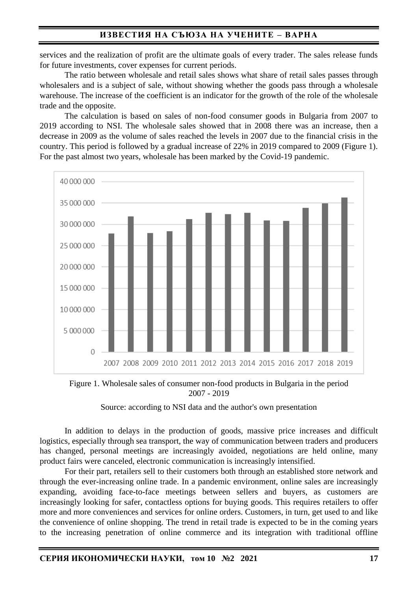# **ИЗВЕСТИЯ НА СЪЮЗА НА УЧЕНИТЕ – ВАРНА**

services and the realization of profit are the ultimate goals of every trader. The sales release funds for future investments, cover expenses for current periods.

The ratio between wholesale and retail sales shows what share of retail sales passes through wholesalers and is a subject of sale, without showing whether the goods pass through a wholesale warehouse. The increase of the coefficient is an indicator for the growth of the role of the wholesale trade and the opposite.

The calculation is based on sales of non-food consumer goods in Bulgaria from 2007 to 2019 according to NSI. The wholesale sales showed that in 2008 there was an increase, then a decrease in 2009 as the volume of sales reached the levels in 2007 due to the financial crisis in the country. This period is followed by a gradual increase of 22% in 2019 compared to 2009 (Figure 1). For the past almost two years, wholesale has been marked by the Covid-19 pandemic.



Figure 1. Wholesale sales of consumer non-food products in Bulgaria in the period 2007 - 2019

### Source: according to NSI data and the author's own presentation

In addition to delays in the production of goods, massive price increases and difficult logistics, especially through sea transport, the way of communication between traders and producers has changed, personal meetings are increasingly avoided, negotiations are held online, many product fairs were canceled, electronic communication is increasingly intensified.

For their part, retailers sell to their customers both through an established store network and through the ever-increasing online trade. In a pandemic environment, online sales are increasingly expanding, avoiding face-to-face meetings between sellers and buyers, as customers are increasingly looking for safer, contactless options for buying goods. This requires retailers to offer more and more conveniences and services for online orders. Customers, in turn, get used to and like the convenience of online shopping. The trend in retail trade is expected to be in the coming years to the increasing penetration of online commerce and its integration with traditional offline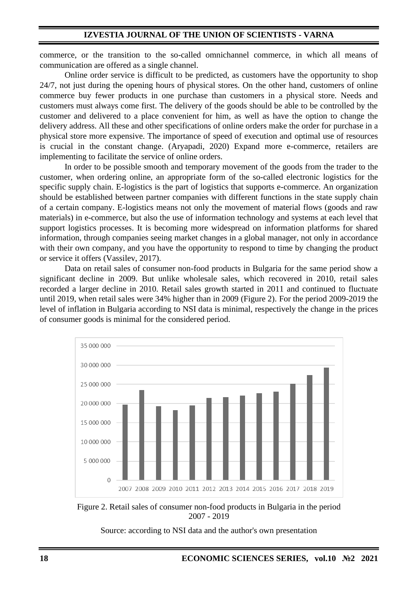commerce, or the transition to the so-called omnichannel commerce, in which all means of communication are offered as a single channel.

Online order service is difficult to be predicted, as customers have the opportunity to shop 24/7, not just during the opening hours of physical stores. On the other hand, customers of online commerce buy fewer products in one purchase than customers in a physical store. Needs and customers must always come first. The delivery of the goods should be able to be controlled by the customer and delivered to a place convenient for him, as well as have the option to change the delivery address. All these and other specifications of online orders make the order for purchase in a physical store more expensive. The importance of speed of execution and optimal use of resources is crucial in the constant change. (Aryapadi, 2020) Expand more e-commerce, retailers are implementing to facilitate the service of online orders.

In order to be possible smooth and temporary movement of the goods from the trader to the customer, when ordering online, an appropriate form of the so-called electronic logistics for the specific supply chain. E-logistics is the part of logistics that supports e-commerce. An organization should be established between partner companies with different functions in the state supply chain of a certain company. E-logistics means not only the movement of material flows (goods and raw materials) in e-commerce, but also the use of information technology and systems at each level that support logistics processes. It is becoming more widespread on information platforms for shared information, through companies seeing market changes in a global manager, not only in accordance with their own company, and you have the opportunity to respond to time by changing the product or service it offers (Vassilev, 2017).

Data on retail sales of consumer non-food products in Bulgaria for the same period show a significant decline in 2009. But unlike wholesale sales, which recovered in 2010, retail sales recorded a larger decline in 2010. Retail sales growth started in 2011 and continued to fluctuate until 2019, when retail sales were 34% higher than in 2009 (Figure 2). For the period 2009-2019 the level of inflation in Bulgaria according to NSI data is minimal, respectively the change in the prices of consumer goods is minimal for the considered period.





Source: according to NSI data and the author's own presentation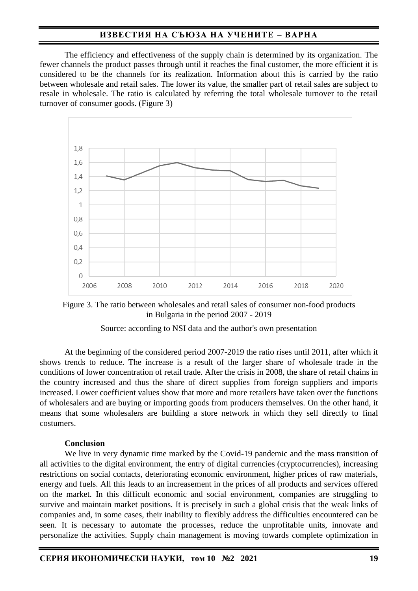# **ИЗВЕСТИЯ НА СЪЮЗА НА УЧЕНИТЕ – ВАРНА**

The efficiency and effectiveness of the supply chain is determined by its organization. The fewer channels the product passes through until it reaches the final customer, the more efficient it is considered to be the channels for its realization. Information about this is carried by the ratio between wholesale and retail sales. The lower its value, the smaller part of retail sales are subject to resale in wholesale. The ratio is calculated by referring the total wholesale turnover to the retail turnover of consumer goods. (Figure 3)



Figure 3. The ratio between wholesales and retail sales of consumer non-food products in Bulgaria in the period 2007 - 2019

Source: according to NSI data and the author's own presentation

At the beginning of the considered period 2007-2019 the ratio rises until 2011, after which it shows trends to reduce. The increase is a result of the larger share of wholesale trade in the conditions of lower concentration of retail trade. After the crisis in 2008, the share of retail chains in the country increased and thus the share of direct supplies from foreign suppliers and imports increased. Lower coefficient values show that more and more retailers have taken over the functions of wholesalers and are buying or importing goods from producers themselves. On the other hand, it means that some wholesalers are building a store network in which they sell directly to final costumers.

### **Conclusion**

We live in very dynamic time marked by the Covid-19 pandemic and the mass transition of all activities to the digital environment, the entry of digital currencies (cryptocurrencies), increasing restrictions on social contacts, deteriorating economic environment, higher prices of raw materials, energy and fuels. All this leads to an increasement in the prices of all products and services offered on the market. In this difficult economic and social environment, companies are struggling to survive and maintain market positions. It is precisely in such a global crisis that the weak links of companies and, in some cases, their inability to flexibly address the difficulties encountered can be seen. It is necessary to automate the processes, reduce the unprofitable units, innovate and personalize the activities. Supply chain management is moving towards complete optimization in